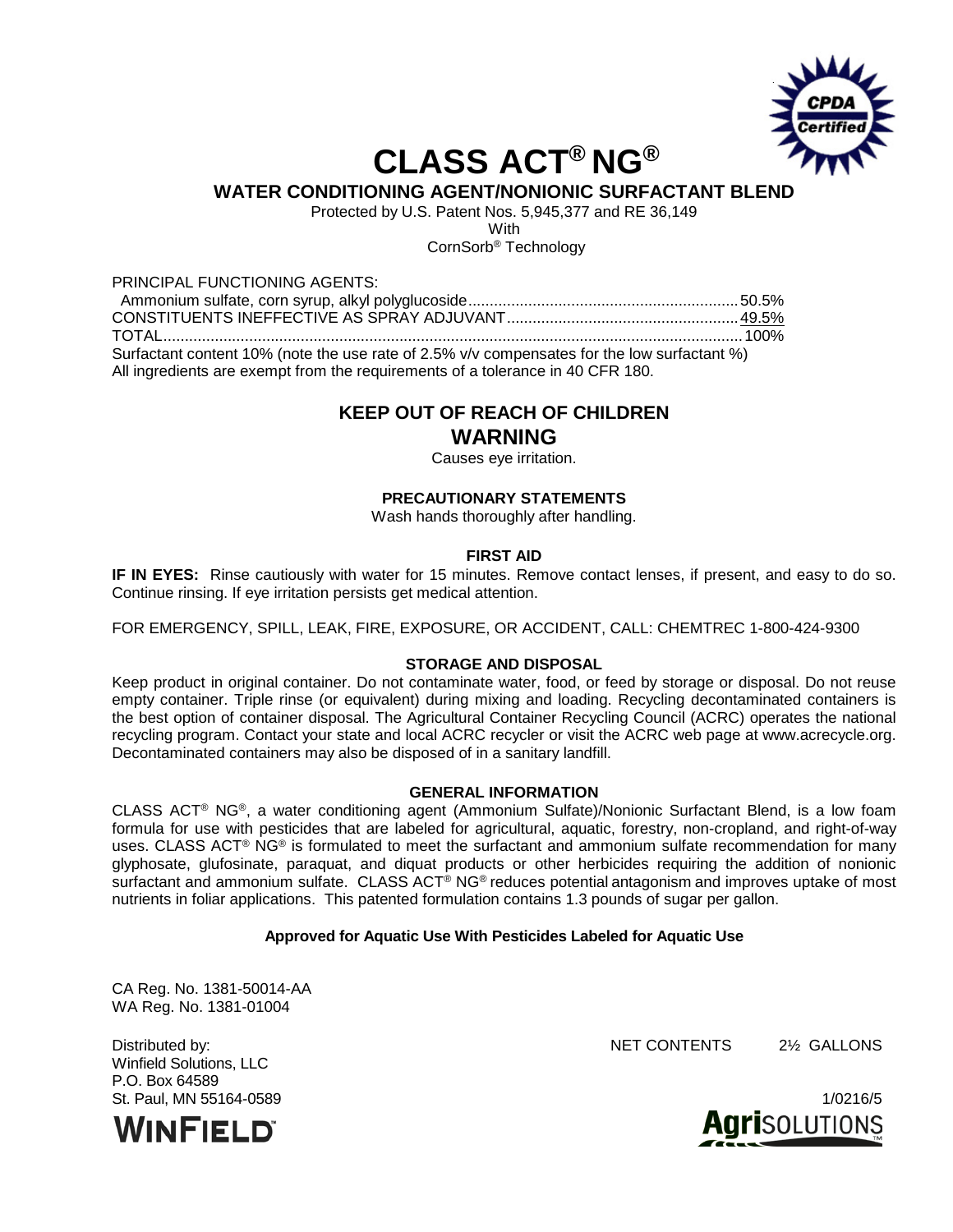

# **CLASS ACT® NG®**

## **WATER CONDITIONING AGENT/NONIONIC SURFACTANT BLEND**

Protected by U.S. Patent Nos. 5,945,377 and RE 36,149

**With** 

CornSorb® Technology

#### PRINCIPAL FUNCTIONING AGENTS:

 Ammonium sulfate, corn syrup, alkyl polyglucoside...............................................................50.5% CONSTITUENTS INEFFECTIVE AS SPRAY ADJUVANT......................................................49.5% TOTAL.......................................................................................................................................100% Surfactant content 10% (note the use rate of 2.5% v/v compensates for the low surfactant %) All ingredients are exempt from the requirements of a tolerance in 40 CFR 180.

# **KEEP OUT OF REACH OF CHILDREN**

### **WARNING**

Causes eye irritation.

#### **PRECAUTIONARY STATEMENTS**

Wash hands thoroughly after handling.

#### **FIRST AID**

**IF IN EYES:** Rinse cautiously with water for 15 minutes. Remove contact lenses, if present, and easy to do so. Continue rinsing. If eye irritation persists get medical attention.

FOR EMERGENCY, SPILL, LEAK, FIRE, EXPOSURE, OR ACCIDENT, CALL: CHEMTREC 1-800-424-9300

#### **STORAGE AND DISPOSAL**

Keep product in original container. Do not contaminate water, food, or feed by storage or disposal. Do not reuse empty container. Triple rinse (or equivalent) during mixing and loading. Recycling decontaminated containers is the best option of container disposal. The Agricultural Container Recycling Council (ACRC) operates the national recycling program. Contact your state and local ACRC recycler or visit the ACRC web page at www.acrecycle.org. Decontaminated containers may also be disposed of in a sanitary landfill.

#### **GENERAL INFORMATION**

CLASS ACT® NG®, a water conditioning agent (Ammonium Sulfate)/Nonionic Surfactant Blend, is a low foam formula for use with pesticides that are labeled for agricultural, aquatic, forestry, non-cropland, and right-of-way uses. CLASS ACT® NG® is formulated to meet the surfactant and ammonium sulfate recommendation for many glyphosate, glufosinate, paraquat, and diquat products or other herbicides requiring the addition of nonionic surfactant and ammonium sulfate. CLASS ACT<sup>®</sup> NG<sup>®</sup> reduces potential antagonism and improves uptake of most nutrients in foliar applications. This patented formulation contains 1.3 pounds of sugar per gallon.

#### **Approved for Aquatic Use With Pesticides Labeled for Aquatic Use**

CA Reg. No. 1381-50014-AA WA Reg. No. 1381-01004

Winfield Solutions, LLC P.O. Box 64589



Distributed by: NET CONTENTS 2½ GALLONS